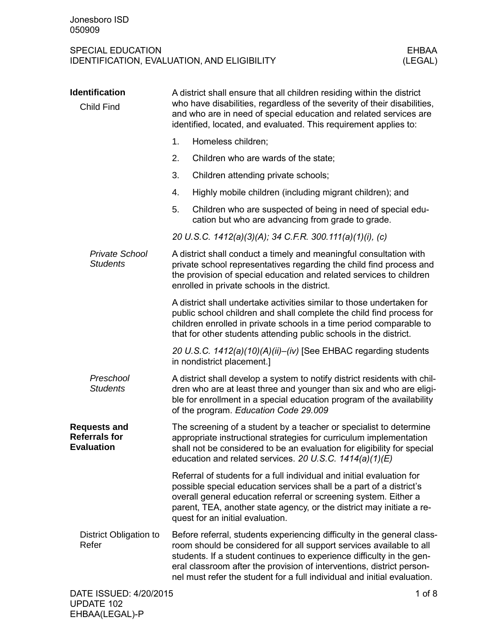| <b>Identification</b><br><b>Child Find</b>                       | A district shall ensure that all children residing within the district<br>who have disabilities, regardless of the severity of their disabilities,<br>and who are in need of special education and related services are<br>identified, located, and evaluated. This requirement applies to:                                                                                  |  |  |
|------------------------------------------------------------------|------------------------------------------------------------------------------------------------------------------------------------------------------------------------------------------------------------------------------------------------------------------------------------------------------------------------------------------------------------------------------|--|--|
|                                                                  | 1.<br>Homeless children;                                                                                                                                                                                                                                                                                                                                                     |  |  |
|                                                                  | 2.<br>Children who are wards of the state;                                                                                                                                                                                                                                                                                                                                   |  |  |
|                                                                  | 3.<br>Children attending private schools;                                                                                                                                                                                                                                                                                                                                    |  |  |
|                                                                  | 4.<br>Highly mobile children (including migrant children); and                                                                                                                                                                                                                                                                                                               |  |  |
|                                                                  | 5.<br>Children who are suspected of being in need of special edu-<br>cation but who are advancing from grade to grade.                                                                                                                                                                                                                                                       |  |  |
|                                                                  | 20 U.S.C. 1412(a)(3)(A); 34 C.F.R. 300.111(a)(1)(i), (c)                                                                                                                                                                                                                                                                                                                     |  |  |
| <b>Private School</b><br><b>Students</b>                         | A district shall conduct a timely and meaningful consultation with<br>private school representatives regarding the child find process and<br>the provision of special education and related services to children<br>enrolled in private schools in the district.                                                                                                             |  |  |
|                                                                  | A district shall undertake activities similar to those undertaken for<br>public school children and shall complete the child find process for<br>children enrolled in private schools in a time period comparable to<br>that for other students attending public schools in the district.                                                                                    |  |  |
|                                                                  | 20 U.S.C. 1412(a)(10)(A)(ii)-(iv) [See EHBAC regarding students<br>in nondistrict placement.]                                                                                                                                                                                                                                                                                |  |  |
| Preschool<br><b>Students</b>                                     | A district shall develop a system to notify district residents with chil-<br>dren who are at least three and younger than six and who are eligi-<br>ble for enrollment in a special education program of the availability<br>of the program. Education Code 29.009                                                                                                           |  |  |
| <b>Requests and</b><br><b>Referrals for</b><br><b>Evaluation</b> | The screening of a student by a teacher or specialist to determine<br>appropriate instructional strategies for curriculum implementation<br>shall not be considered to be an evaluation for eligibility for special<br>education and related services. 20 U.S.C. 1414(a)(1)(E)                                                                                               |  |  |
|                                                                  | Referral of students for a full individual and initial evaluation for<br>possible special education services shall be a part of a district's<br>overall general education referral or screening system. Either a<br>parent, TEA, another state agency, or the district may initiate a re-<br>quest for an initial evaluation.                                                |  |  |
| District Obligation to<br>Refer                                  | Before referral, students experiencing difficulty in the general class-<br>room should be considered for all support services available to all<br>students. If a student continues to experience difficulty in the gen-<br>eral classroom after the provision of interventions, district person-<br>nel must refer the student for a full individual and initial evaluation. |  |  |
| DATE ISSUED: 4/20/2015                                           | $1$ of $8$                                                                                                                                                                                                                                                                                                                                                                   |  |  |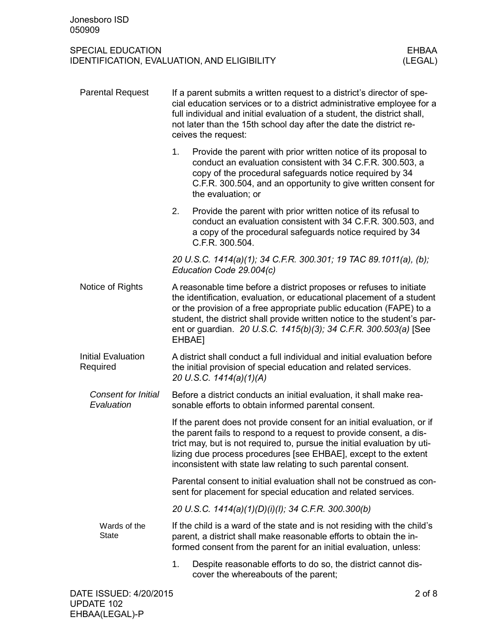| <b>Parental Request</b>                  | If a parent submits a written request to a district's director of spe-<br>cial education services or to a district administrative employee for a<br>full individual and initial evaluation of a student, the district shall,<br>not later than the 15th school day after the date the district re-<br>ceives the request:                                                     |                                                                                                                                                                                                                                                                                                                                                                 |  |
|------------------------------------------|-------------------------------------------------------------------------------------------------------------------------------------------------------------------------------------------------------------------------------------------------------------------------------------------------------------------------------------------------------------------------------|-----------------------------------------------------------------------------------------------------------------------------------------------------------------------------------------------------------------------------------------------------------------------------------------------------------------------------------------------------------------|--|
|                                          | 1.                                                                                                                                                                                                                                                                                                                                                                            | Provide the parent with prior written notice of its proposal to<br>conduct an evaluation consistent with 34 C.F.R. 300.503, a<br>copy of the procedural safeguards notice required by 34<br>C.F.R. 300.504, and an opportunity to give written consent for<br>the evaluation; or                                                                                |  |
|                                          | 2.                                                                                                                                                                                                                                                                                                                                                                            | Provide the parent with prior written notice of its refusal to<br>conduct an evaluation consistent with 34 C.F.R. 300.503, and<br>a copy of the procedural safeguards notice required by 34<br>C.F.R. 300.504.                                                                                                                                                  |  |
|                                          |                                                                                                                                                                                                                                                                                                                                                                               | 20 U.S.C. 1414(a)(1); 34 C.F.R. 300.301; 19 TAC 89.1011(a), (b);<br>Education Code 29.004(c)                                                                                                                                                                                                                                                                    |  |
| Notice of Rights                         | A reasonable time before a district proposes or refuses to initiate<br>the identification, evaluation, or educational placement of a student<br>or the provision of a free appropriate public education (FAPE) to a<br>student, the district shall provide written notice to the student's par-<br>ent or guardian. 20 U.S.C. 1415(b)(3); 34 C.F.R. 300.503(a) [See<br>EHBAE1 |                                                                                                                                                                                                                                                                                                                                                                 |  |
| <b>Initial Evaluation</b><br>Required    | A district shall conduct a full individual and initial evaluation before<br>the initial provision of special education and related services.<br>20 U.S.C. 1414(a)(1)(A)                                                                                                                                                                                                       |                                                                                                                                                                                                                                                                                                                                                                 |  |
| <b>Consent for Initial</b><br>Evaluation |                                                                                                                                                                                                                                                                                                                                                                               | Before a district conducts an initial evaluation, it shall make rea-<br>sonable efforts to obtain informed parental consent.                                                                                                                                                                                                                                    |  |
|                                          |                                                                                                                                                                                                                                                                                                                                                                               | If the parent does not provide consent for an initial evaluation, or if<br>the parent fails to respond to a request to provide consent, a dis-<br>trict may, but is not required to, pursue the initial evaluation by uti-<br>lizing due process procedures [see EHBAE], except to the extent<br>inconsistent with state law relating to such parental consent. |  |
|                                          |                                                                                                                                                                                                                                                                                                                                                                               | Parental consent to initial evaluation shall not be construed as con-<br>sent for placement for special education and related services.                                                                                                                                                                                                                         |  |
|                                          |                                                                                                                                                                                                                                                                                                                                                                               | 20 U.S.C. 1414(a)(1)(D)(i)(l); 34 C.F.R. 300.300(b)                                                                                                                                                                                                                                                                                                             |  |
| Wards of the<br><b>State</b>             | If the child is a ward of the state and is not residing with the child's<br>parent, a district shall make reasonable efforts to obtain the in-<br>formed consent from the parent for an initial evaluation, unless:                                                                                                                                                           |                                                                                                                                                                                                                                                                                                                                                                 |  |
|                                          | 1.                                                                                                                                                                                                                                                                                                                                                                            | Despite reasonable efforts to do so, the district cannot dis-<br>cover the whereabouts of the parent;                                                                                                                                                                                                                                                           |  |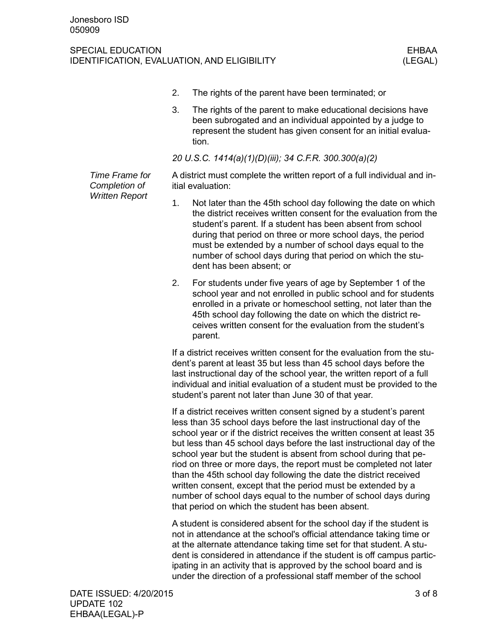#### SPECIAL EDUCATION EXPLORED AND THE SERIES OF THE SERIES OF THE SERIES OF THE SERIES OF THE SERIES OF THE SERIES IDENTIFICATION, EVALUATION, AND ELIGIBILITY (LEGAL)

- 2. The rights of the parent have been terminated; or
- 3. The rights of the parent to make educational decisions have been subrogated and an individual appointed by a judge to represent the student has given consent for an initial evaluation.

*20 U.S.C. 1414(a)(1)(D)(iii); 34 C.F.R. 300.300(a)(2)*

*Time Frame for Completion of Written Report*

A district must complete the written report of a full individual and initial evaluation:

- 1. Not later than the 45th school day following the date on which the district receives written consent for the evaluation from the student's parent. If a student has been absent from school during that period on three or more school days, the period must be extended by a number of school days equal to the number of school days during that period on which the student has been absent; or
- 2. For students under five years of age by September 1 of the school year and not enrolled in public school and for students enrolled in a private or homeschool setting, not later than the 45th school day following the date on which the district receives written consent for the evaluation from the student's parent.

If a district receives written consent for the evaluation from the student's parent at least 35 but less than 45 school days before the last instructional day of the school year, the written report of a full individual and initial evaluation of a student must be provided to the student's parent not later than June 30 of that year.

If a district receives written consent signed by a student's parent less than 35 school days before the last instructional day of the school year or if the district receives the written consent at least 35 but less than 45 school days before the last instructional day of the school year but the student is absent from school during that period on three or more days, the report must be completed not later than the 45th school day following the date the district received written consent, except that the period must be extended by a number of school days equal to the number of school days during that period on which the student has been absent.

A student is considered absent for the school day if the student is not in attendance at the school's official attendance taking time or at the alternate attendance taking time set for that student. A student is considered in attendance if the student is off campus participating in an activity that is approved by the school board and is under the direction of a professional staff member of the school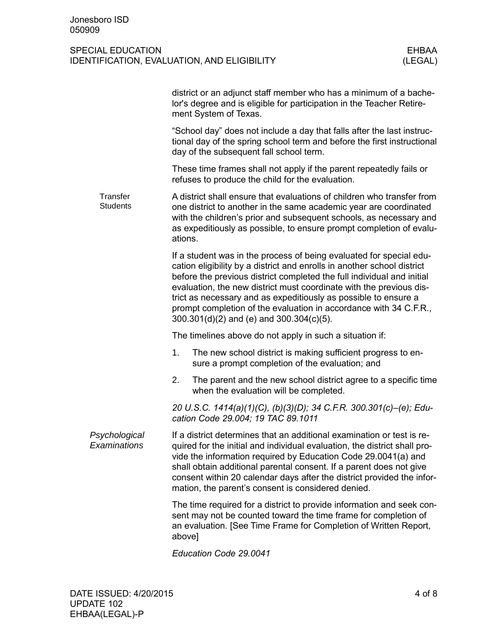|                               | district or an adjunct staff member who has a minimum of a bache-<br>lor's degree and is eligible for participation in the Teacher Retire-<br>ment System of Texas.                                                                                                                                                                                                                                                                                                                 |
|-------------------------------|-------------------------------------------------------------------------------------------------------------------------------------------------------------------------------------------------------------------------------------------------------------------------------------------------------------------------------------------------------------------------------------------------------------------------------------------------------------------------------------|
| Transfer<br><b>Students</b>   | "School day" does not include a day that falls after the last instruc-<br>tional day of the spring school term and before the first instructional<br>day of the subsequent fall school term.                                                                                                                                                                                                                                                                                        |
|                               | These time frames shall not apply if the parent repeatedly fails or<br>refuses to produce the child for the evaluation.                                                                                                                                                                                                                                                                                                                                                             |
|                               | A district shall ensure that evaluations of children who transfer from<br>one district to another in the same academic year are coordinated<br>with the children's prior and subsequent schools, as necessary and<br>as expeditiously as possible, to ensure prompt completion of evalu-<br>ations.                                                                                                                                                                                 |
|                               | If a student was in the process of being evaluated for special edu-<br>cation eligibility by a district and enrolls in another school district<br>before the previous district completed the full individual and initial<br>evaluation, the new district must coordinate with the previous dis-<br>trict as necessary and as expeditiously as possible to ensure a<br>prompt completion of the evaluation in accordance with 34 C.F.R.,<br>300.301(d)(2) and (e) and 300.304(c)(5). |
| Psychological<br>Examinations | The timelines above do not apply in such a situation if:                                                                                                                                                                                                                                                                                                                                                                                                                            |
|                               | The new school district is making sufficient progress to en-<br>1.<br>sure a prompt completion of the evaluation; and                                                                                                                                                                                                                                                                                                                                                               |
|                               | 2.<br>The parent and the new school district agree to a specific time<br>when the evaluation will be completed.                                                                                                                                                                                                                                                                                                                                                                     |
|                               | 20 U.S.C. 1414(a)(1)(C), (b)(3)(D); 34 C.F.R. 300.301(c)–(e); Edu-<br>cation Code 29.004; 19 TAC 89.1011                                                                                                                                                                                                                                                                                                                                                                            |
|                               | If a district determines that an additional examination or test is re-<br>quired for the initial and individual evaluation, the district shall pro-<br>vide the information required by Education Code 29.0041(a) and<br>shall obtain additional parental consent. If a parent does not give<br>consent within 20 calendar days after the district provided the infor-<br>mation, the parent's consent is considered denied.                                                        |
|                               | The time required for a district to provide information and seek con-<br>sent may not be counted toward the time frame for completion of<br>an evaluation. [See Time Frame for Completion of Written Report,<br>above]                                                                                                                                                                                                                                                              |
|                               |                                                                                                                                                                                                                                                                                                                                                                                                                                                                                     |

*Education Code 29.0041*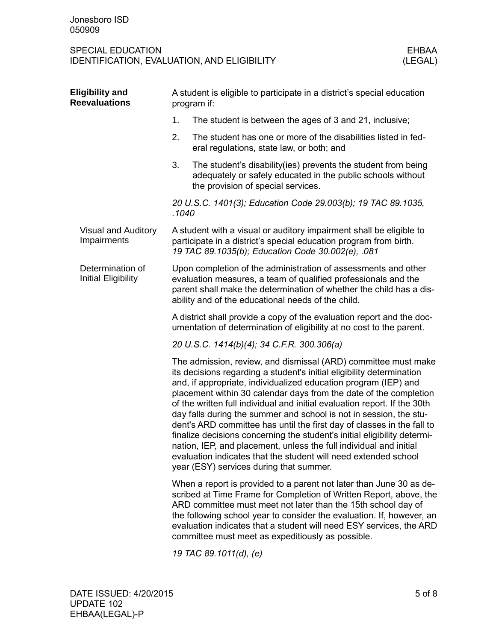| <b>Eligibility and</b><br><b>Reevaluations</b> | A student is eligible to participate in a district's special education<br>program if:                                                                                                                                                                                                                                                                                                                                                                                                                                                                                                                                                                                                                                                                                        |  |  |
|------------------------------------------------|------------------------------------------------------------------------------------------------------------------------------------------------------------------------------------------------------------------------------------------------------------------------------------------------------------------------------------------------------------------------------------------------------------------------------------------------------------------------------------------------------------------------------------------------------------------------------------------------------------------------------------------------------------------------------------------------------------------------------------------------------------------------------|--|--|
|                                                | 1.<br>The student is between the ages of 3 and 21, inclusive;                                                                                                                                                                                                                                                                                                                                                                                                                                                                                                                                                                                                                                                                                                                |  |  |
|                                                | 2.<br>The student has one or more of the disabilities listed in fed-<br>eral regulations, state law, or both; and                                                                                                                                                                                                                                                                                                                                                                                                                                                                                                                                                                                                                                                            |  |  |
|                                                | 3.<br>The student's disability (ies) prevents the student from being<br>adequately or safely educated in the public schools without<br>the provision of special services.                                                                                                                                                                                                                                                                                                                                                                                                                                                                                                                                                                                                    |  |  |
|                                                | 20 U.S.C. 1401(3); Education Code 29.003(b); 19 TAC 89.1035,<br>.1040                                                                                                                                                                                                                                                                                                                                                                                                                                                                                                                                                                                                                                                                                                        |  |  |
| <b>Visual and Auditory</b><br>Impairments      | A student with a visual or auditory impairment shall be eligible to<br>participate in a district's special education program from birth.<br>19 TAC 89.1035(b); Education Code 30.002(e), .081                                                                                                                                                                                                                                                                                                                                                                                                                                                                                                                                                                                |  |  |
| Determination of<br><b>Initial Eligibility</b> | Upon completion of the administration of assessments and other<br>evaluation measures, a team of qualified professionals and the<br>parent shall make the determination of whether the child has a dis-<br>ability and of the educational needs of the child.                                                                                                                                                                                                                                                                                                                                                                                                                                                                                                                |  |  |
|                                                | A district shall provide a copy of the evaluation report and the doc-<br>umentation of determination of eligibility at no cost to the parent.                                                                                                                                                                                                                                                                                                                                                                                                                                                                                                                                                                                                                                |  |  |
|                                                | 20 U.S.C. 1414(b)(4); 34 C.F.R. 300.306(a)                                                                                                                                                                                                                                                                                                                                                                                                                                                                                                                                                                                                                                                                                                                                   |  |  |
|                                                | The admission, review, and dismissal (ARD) committee must make<br>its decisions regarding a student's initial eligibility determination<br>and, if appropriate, individualized education program (IEP) and<br>placement within 30 calendar days from the date of the completion<br>of the written full individual and initial evaluation report. If the 30th<br>day falls during the summer and school is not in session, the stu-<br>dent's ARD committee has until the first day of classes in the fall to<br>finalize decisions concerning the student's initial eligibility determi-<br>nation, IEP, and placement, unless the full individual and initial<br>evaluation indicates that the student will need extended school<br>year (ESY) services during that summer. |  |  |
|                                                | When a report is provided to a parent not later than June 30 as de-<br>scribed at Time Frame for Completion of Written Report, above, the<br>ARD committee must meet not later than the 15th school day of<br>the following school year to consider the evaluation. If, however, an<br>evaluation indicates that a student will need ESY services, the ARD<br>committee must meet as expeditiously as possible.                                                                                                                                                                                                                                                                                                                                                              |  |  |
|                                                |                                                                                                                                                                                                                                                                                                                                                                                                                                                                                                                                                                                                                                                                                                                                                                              |  |  |

*19 TAC 89.1011(d), (e)*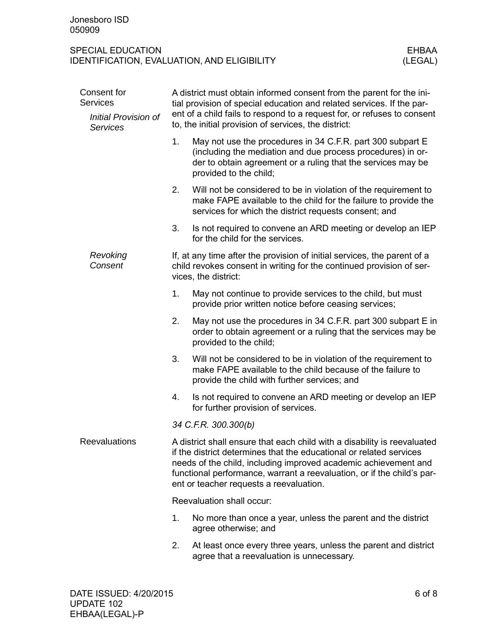| Consent for<br><b>Services</b>          | A district must obtain informed consent from the parent for the ini-<br>tial provision of special education and related services. If the par-                                                                                                                                                                                           |                                                                                                                                                                                                                     |  |  |  |  |
|-----------------------------------------|-----------------------------------------------------------------------------------------------------------------------------------------------------------------------------------------------------------------------------------------------------------------------------------------------------------------------------------------|---------------------------------------------------------------------------------------------------------------------------------------------------------------------------------------------------------------------|--|--|--|--|
| Initial Provision of<br><b>Services</b> |                                                                                                                                                                                                                                                                                                                                         | ent of a child fails to respond to a request for, or refuses to consent<br>to, the initial provision of services, the district:                                                                                     |  |  |  |  |
|                                         | 1.                                                                                                                                                                                                                                                                                                                                      | May not use the procedures in 34 C.F.R. part 300 subpart E<br>(including the mediation and due process procedures) in or-<br>der to obtain agreement or a ruling that the services may be<br>provided to the child; |  |  |  |  |
|                                         | 2.                                                                                                                                                                                                                                                                                                                                      | Will not be considered to be in violation of the requirement to<br>make FAPE available to the child for the failure to provide the<br>services for which the district requests consent; and                         |  |  |  |  |
|                                         | 3.                                                                                                                                                                                                                                                                                                                                      | Is not required to convene an ARD meeting or develop an IEP<br>for the child for the services.                                                                                                                      |  |  |  |  |
| Revoking<br>Consent                     | If, at any time after the provision of initial services, the parent of a<br>child revokes consent in writing for the continued provision of ser-<br>vices, the district:                                                                                                                                                                |                                                                                                                                                                                                                     |  |  |  |  |
|                                         | 1.                                                                                                                                                                                                                                                                                                                                      | May not continue to provide services to the child, but must<br>provide prior written notice before ceasing services;                                                                                                |  |  |  |  |
|                                         | 2.                                                                                                                                                                                                                                                                                                                                      | May not use the procedures in 34 C.F.R. part 300 subpart E in<br>order to obtain agreement or a ruling that the services may be<br>provided to the child;                                                           |  |  |  |  |
|                                         | 3.                                                                                                                                                                                                                                                                                                                                      | Will not be considered to be in violation of the requirement to<br>make FAPE available to the child because of the failure to<br>provide the child with further services; and                                       |  |  |  |  |
|                                         | 4.                                                                                                                                                                                                                                                                                                                                      | Is not required to convene an ARD meeting or develop an IEP<br>for further provision of services.                                                                                                                   |  |  |  |  |
|                                         |                                                                                                                                                                                                                                                                                                                                         | 34 C.F.R. 300.300(b)                                                                                                                                                                                                |  |  |  |  |
| <b>Reevaluations</b>                    | A district shall ensure that each child with a disability is reevaluated<br>if the district determines that the educational or related services<br>needs of the child, including improved academic achievement and<br>functional performance, warrant a reevaluation, or if the child's par-<br>ent or teacher requests a reevaluation. |                                                                                                                                                                                                                     |  |  |  |  |
|                                         | Reevaluation shall occur:                                                                                                                                                                                                                                                                                                               |                                                                                                                                                                                                                     |  |  |  |  |
|                                         | 1.                                                                                                                                                                                                                                                                                                                                      | No more than once a year, unless the parent and the district<br>agree otherwise; and                                                                                                                                |  |  |  |  |
|                                         | 2.                                                                                                                                                                                                                                                                                                                                      | At least once every three years, unless the parent and district<br>agree that a reevaluation is unnecessary.                                                                                                        |  |  |  |  |
|                                         |                                                                                                                                                                                                                                                                                                                                         |                                                                                                                                                                                                                     |  |  |  |  |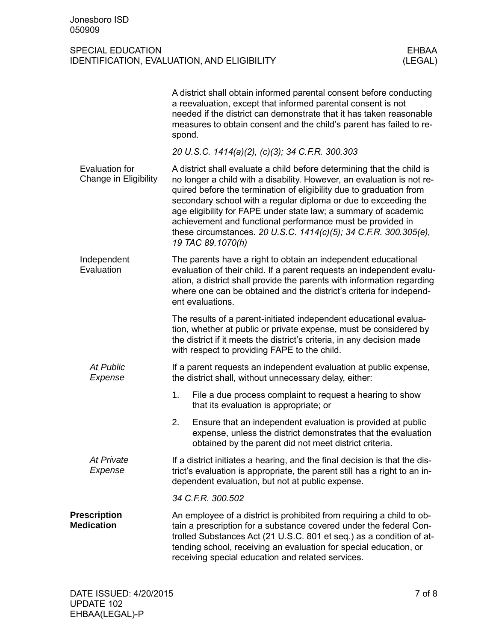|                                          | A district shall obtain informed parental consent before conducting<br>a reevaluation, except that informed parental consent is not<br>needed if the district can demonstrate that it has taken reasonable<br>measures to obtain consent and the child's parent has failed to re-<br>spond.                                                                                                                                                                                                                          |
|------------------------------------------|----------------------------------------------------------------------------------------------------------------------------------------------------------------------------------------------------------------------------------------------------------------------------------------------------------------------------------------------------------------------------------------------------------------------------------------------------------------------------------------------------------------------|
|                                          | 20 U.S.C. 1414(a)(2), (c)(3); 34 C.F.R. 300.303                                                                                                                                                                                                                                                                                                                                                                                                                                                                      |
| Evaluation for<br>Change in Eligibility  | A district shall evaluate a child before determining that the child is<br>no longer a child with a disability. However, an evaluation is not re-<br>quired before the termination of eligibility due to graduation from<br>secondary school with a regular diploma or due to exceeding the<br>age eligibility for FAPE under state law; a summary of academic<br>achievement and functional performance must be provided in<br>these circumstances. 20 U.S.C. 1414(c)(5); 34 C.F.R. 300.305(e),<br>19 TAC 89.1070(h) |
| Independent<br>Evaluation                | The parents have a right to obtain an independent educational<br>evaluation of their child. If a parent requests an independent evalu-<br>ation, a district shall provide the parents with information regarding<br>where one can be obtained and the district's criteria for independ-<br>ent evaluations.                                                                                                                                                                                                          |
|                                          | The results of a parent-initiated independent educational evalua-<br>tion, whether at public or private expense, must be considered by<br>the district if it meets the district's criteria, in any decision made<br>with respect to providing FAPE to the child.                                                                                                                                                                                                                                                     |
| <b>At Public</b><br>Expense              | If a parent requests an independent evaluation at public expense,<br>the district shall, without unnecessary delay, either:                                                                                                                                                                                                                                                                                                                                                                                          |
|                                          | 1.<br>File a due process complaint to request a hearing to show<br>that its evaluation is appropriate; or                                                                                                                                                                                                                                                                                                                                                                                                            |
|                                          | 2.<br>Ensure that an independent evaluation is provided at public<br>expense, unless the district demonstrates that the evaluation<br>obtained by the parent did not meet district criteria.                                                                                                                                                                                                                                                                                                                         |
| At Private<br>Expense                    | If a district initiates a hearing, and the final decision is that the dis-<br>trict's evaluation is appropriate, the parent still has a right to an in-<br>dependent evaluation, but not at public expense.                                                                                                                                                                                                                                                                                                          |
|                                          | 34 C.F.R. 300.502                                                                                                                                                                                                                                                                                                                                                                                                                                                                                                    |
| <b>Prescription</b><br><b>Medication</b> | An employee of a district is prohibited from requiring a child to ob-<br>tain a prescription for a substance covered under the federal Con-<br>trolled Substances Act (21 U.S.C. 801 et seq.) as a condition of at-<br>tending school, receiving an evaluation for special education, or<br>receiving special education and related services.                                                                                                                                                                        |